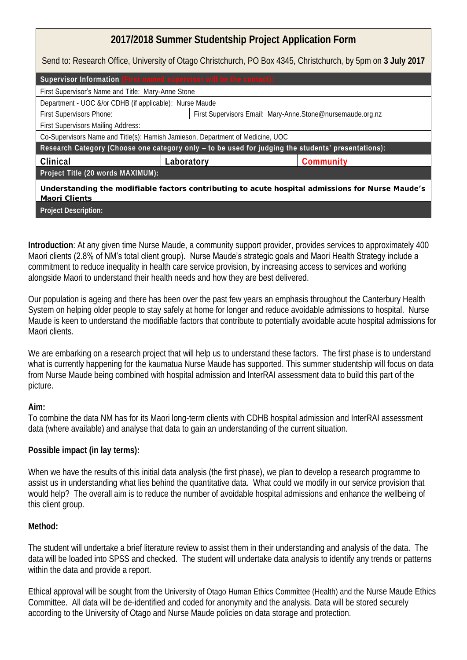## **2017/2018 Summer Studentship Project Application Form**

Send to: Research Office, University of Otago Christchurch, PO Box 4345, Christchurch, by 5pm on **3 July 2017**

| Supervisor Information (First named supervisor will be the contact):                                              |                                                            |           |
|-------------------------------------------------------------------------------------------------------------------|------------------------------------------------------------|-----------|
| First Supervisor's Name and Title: Mary-Anne Stone                                                                |                                                            |           |
| Department - UOC &/or CDHB (if applicable): Nurse Maude                                                           |                                                            |           |
| First Supervisors Phone:                                                                                          | First Supervisors Email: Mary-Anne.Stone@nursemaude.org.nz |           |
| First Supervisors Mailing Address:                                                                                |                                                            |           |
| Co-Supervisors Name and Title(s): Hamish Jamieson, Department of Medicine, UOC                                    |                                                            |           |
| Research Category (Choose one category only - to be used for judging the students' presentations):                |                                                            |           |
| Clinical                                                                                                          | Laboratory                                                 | Community |
| Project Title (20 words MAXIMUM):                                                                                 |                                                            |           |
| Understanding the modifiable factors contributing to acute hospital admissions for Nurse Maude's<br>Maori Clients |                                                            |           |
| Project Description:                                                                                              |                                                            |           |

**Introduction**: At any given time Nurse Maude, a community support provider, provides services to approximately 400 Maori clients (2.8% of NM's total client group). Nurse Maude's strategic goals and Maori Health Strategy include a commitment to reduce inequality in health care service provision, by increasing access to services and working alongside Maori to understand their health needs and how they are best delivered.

Our population is ageing and there has been over the past few years an emphasis throughout the Canterbury Health System on helping older people to stay safely at home for longer and reduce avoidable admissions to hospital. Nurse Maude is keen to understand the modifiable factors that contribute to potentially avoidable acute hospital admissions for Maori clients.

We are embarking on a research project that will help us to understand these factors. The first phase is to understand what is currently happening for the kaumatua Nurse Maude has supported. This summer studentship will focus on data from Nurse Maude being combined with hospital admission and InterRAI assessment data to build this part of the picture.

**Aim:** 

To combine the data NM has for its Maori long-term clients with CDHB hospital admission and InterRAI assessment data (where available) and analyse that data to gain an understanding of the current situation.

**Possible impact (in lay terms):** 

When we have the results of this initial data analysis (the first phase), we plan to develop a research programme to assist us in understanding what lies behind the quantitative data. What could we modify in our service provision that would help? The overall aim is to reduce the number of avoidable hospital admissions and enhance the wellbeing of this client group.

## **Method:**

The student will undertake a brief literature review to assist them in their understanding and analysis of the data. The data will be loaded into SPSS and checked. The student will undertake data analysis to identify any trends or patterns within the data and provide a report.

Ethical approval will be sought from the University of Otago Human Ethics Committee (Health) and the Nurse Maude Ethics Committee. All data will be de-identified and coded for anonymity and the analysis. Data will be stored securely according to the University of Otago and Nurse Maude policies on data storage and protection.